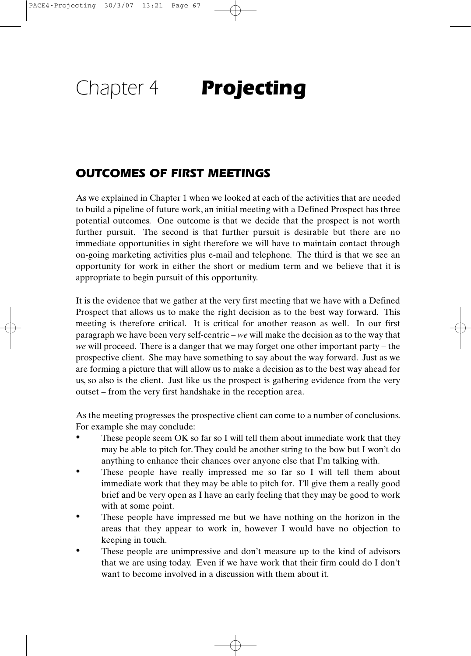# Chapter 4 **Projecting**

## **OUTCOMES OF FIRST MEETINGS**

As we explained in Chapter 1 when we looked at each of the activities that are needed to build a pipeline of future work, an initial meeting with a Defined Prospect has three potential outcomes. One outcome is that we decide that the prospect is not worth further pursuit. The second is that further pursuit is desirable but there are no immediate opportunities in sight therefore we will have to maintain contact through on-going marketing activities plus e-mail and telephone. The third is that we see an opportunity for work in either the short or medium term and we believe that it is appropriate to begin pursuit of this opportunity.

It is the evidence that we gather at the very first meeting that we have with a Defined Prospect that allows us to make the right decision as to the best way forward. This meeting is therefore critical. It is critical for another reason as well. In our first paragraph we have been very self-centric – *we* will make the decision as to the way that *we* will proceed. There is a danger that we may forget one other important party – the prospective client. She may have something to say about the way forward. Just as we are forming a picture that will allow us to make a decision as to the best way ahead for us, so also is the client. Just like us the prospect is gathering evidence from the very outset – from the very first handshake in the reception area.

As the meeting progresses the prospective client can come to a number of conclusions. For example she may conclude:

- These people seem OK so far so I will tell them about immediate work that they may be able to pitch for. They could be another string to the bow but I won't do anything to enhance their chances over anyone else that I'm talking with. •
- These people have really impressed me so far so I will tell them about immediate work that they may be able to pitch for. I'll give them a really good brief and be very open as I have an early feeling that they may be good to work with at some point. •
- These people have impressed me but we have nothing on the horizon in the areas that they appear to work in, however I would have no objection to keeping in touch. •
- These people are unimpressive and don't measure up to the kind of advisors that we are using today. Even if we have work that their firm could do I don't want to become involved in a discussion with them about it. •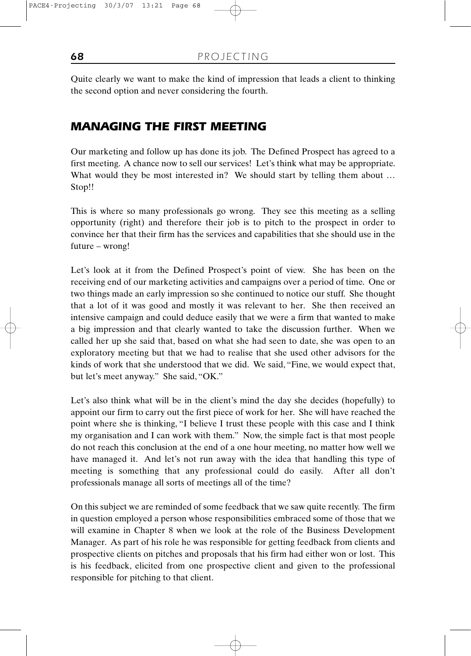Quite clearly we want to make the kind of impression that leads a client to thinking the second option and never considering the fourth.

## **MANAGING THE FIRST MEETING**

Our marketing and follow up has done its job. The Defined Prospect has agreed to a first meeting. A chance now to sell our services! Let's think what may be appropriate. What would they be most interested in? We should start by telling them about ... Stop!!

This is where so many professionals go wrong. They see this meeting as a selling opportunity (right) and therefore their job is to pitch to the prospect in order to convince her that their firm has the services and capabilities that she should use in the future – wrong!

Let's look at it from the Defined Prospect's point of view. She has been on the receiving end of our marketing activities and campaigns over a period of time. One or two things made an early impression so she continued to notice our stuff. She thought that a lot of it was good and mostly it was relevant to her. She then received an intensive campaign and could deduce easily that we were a firm that wanted to make a big impression and that clearly wanted to take the discussion further. When we called her up she said that, based on what she had seen to date, she was open to an exploratory meeting but that we had to realise that she used other advisors for the kinds of work that she understood that we did. We said, "Fine, we would expect that, but let's meet anyway." She said, "OK."

Let's also think what will be in the client's mind the day she decides (hopefully) to appoint our firm to carry out the first piece of work for her. She will have reached the point where she is thinking, "I believe I trust these people with this case and I think my organisation and I can work with them." Now, the simple fact is that most people do not reach this conclusion at the end of a one hour meeting, no matter how well we have managed it. And let's not run away with the idea that handling this type of meeting is something that any professional could do easily. After all don't professionals manage all sorts of meetings all of the time?

On this subject we are reminded of some feedback that we saw quite recently. The firm in question employed a person whose responsibilities embraced some of those that we will examine in Chapter 8 when we look at the role of the Business Development Manager. As part of his role he was responsible for getting feedback from clients and prospective clients on pitches and proposals that his firm had either won or lost. This is his feedback, elicited from one prospective client and given to the professional responsible for pitching to that client.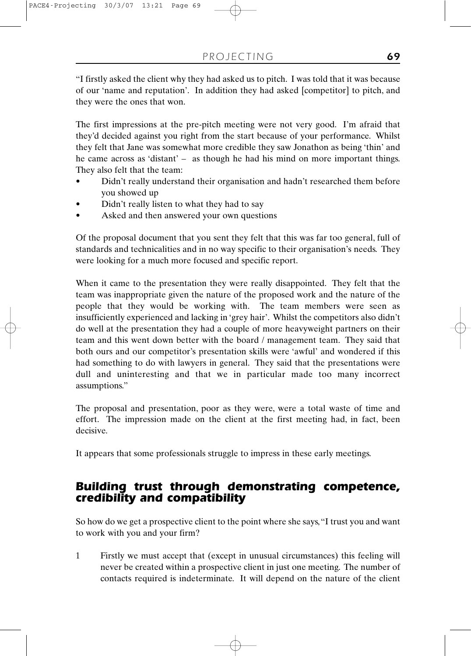"I firstly asked the client why they had asked us to pitch. I was told that it was because of our 'name and reputation'. In addition they had asked [competitor] to pitch, and they were the ones that won.

The first impressions at the pre-pitch meeting were not very good. I'm afraid that they'd decided against you right from the start because of your performance. Whilst they felt that Jane was somewhat more credible they saw Jonathon as being 'thin' and he came across as 'distant' – as though he had his mind on more important things. They also felt that the team:

- Didn't really understand their organisation and hadn't researched them before you showed up •
- Didn't really listen to what they had to say •
- Asked and then answered your own questions •

Of the proposal document that you sent they felt that this was far too general, full of standards and technicalities and in no way specific to their organisation's needs. They were looking for a much more focused and specific report.

When it came to the presentation they were really disappointed. They felt that the team was inappropriate given the nature of the proposed work and the nature of the people that they would be working with. The team members were seen as insufficiently experienced and lacking in 'grey hair'. Whilst the competitors also didn't do well at the presentation they had a couple of more heavyweight partners on their team and this went down better with the board / management team. They said that both ours and our competitor's presentation skills were 'awful' and wondered if this had something to do with lawyers in general. They said that the presentations were dull and uninteresting and that we in particular made too many incorrect assumptions."

The proposal and presentation, poor as they were, were a total waste of time and effort. The impression made on the client at the first meeting had, in fact, been decisive.

It appears that some professionals struggle to impress in these early meetings.

# **Building trust through demonstrating competence, credibility and compatibility**

So how do we get a prospective client to the point where she says,"I trust you and want to work with you and your firm?

1 Firstly we must accept that (except in unusual circumstances) this feeling will never be created within a prospective client in just one meeting. The number of contacts required is indeterminate. It will depend on the nature of the client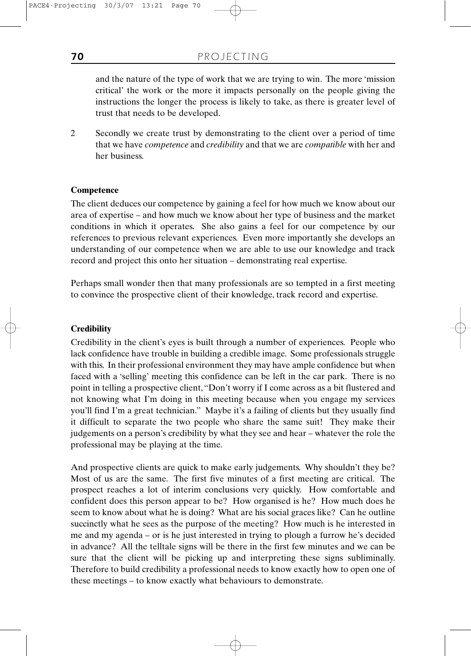and the nature of the type of work that we are trying to win. The more 'mission critical' the work or the more it impacts personally on the people giving the instructions the longer the process is likely to take, as there is greater level of trust that needs to be developed.

2 Secondly we create trust by demonstrating to the client over a period of time that we have *competence* and *credibility* and that we are *compatible* with her and her business.

#### **Competence**

The client deduces our competence by gaining a feel for how much we know about our area of expertise – and how much we know about her type of business and the market conditions in which it operates. She also gains a feel for our competence by our references to previous relevant experiences. Even more importantly she develops an understanding of our competence when we are able to use our knowledge and track record and project this onto her situation – demonstrating real expertise.

Perhaps small wonder then that many professionals are so tempted in a first meeting to convince the prospective client of their knowledge, track record and expertise.

#### **Credibility**

Credibility in the client's eyes is built through a number of experiences. People who lack confidence have trouble in building a credible image. Some professionals struggle with this. In their professional environment they may have ample confidence but when faced with a 'selling' meeting this confidence can be left in the car park. There is no point in telling a prospective client,"Don't worry if I come across as a bit flustered and not knowing what I'm doing in this meeting because when you engage my services you'll find I'm a great technician." Maybe it's a failing of clients but they usually find it difficult to separate the two people who share the same suit! They make their judgements on a person's credibility by what they see and hear – whatever the role the professional may be playing at the time.

And prospective clients are quick to make early judgements. Why shouldn't they be? Most of us are the same. The first five minutes of a first meeting are critical. The prospect reaches a lot of interim conclusions very quickly. How comfortable and confident does this person appear to be? How organised is he? How much does he seem to know about what he is doing? What are his social graces like? Can he outline succinctly what he sees as the purpose of the meeting? How much is he interested in me and my agenda – or is he just interested in trying to plough a furrow he's decided in advance? All the telltale signs will be there in the first few minutes and we can be sure that the client will be picking up and interpreting these signs subliminally. Therefore to build credibility a professional needs to know exactly how to open one of these meetings – to know exactly what behaviours to demonstrate.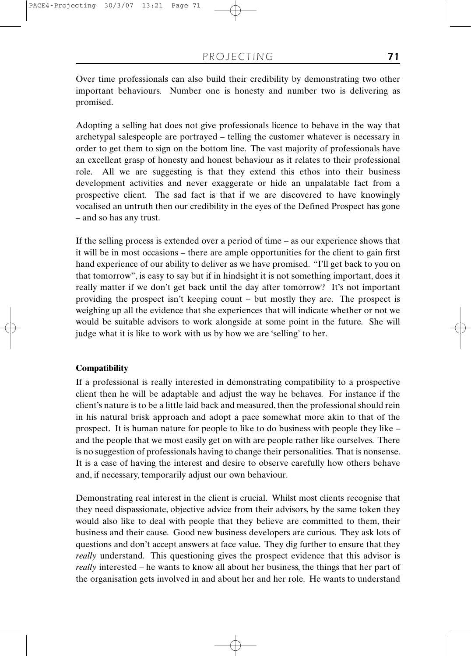Over time professionals can also build their credibility by demonstrating two other important behaviours. Number one is honesty and number two is delivering as promised.

Adopting a selling hat does not give professionals licence to behave in the way that archetypal salespeople are portrayed – telling the customer whatever is necessary in order to get them to sign on the bottom line. The vast majority of professionals have an excellent grasp of honesty and honest behaviour as it relates to their professional role. All we are suggesting is that they extend this ethos into their business development activities and never exaggerate or hide an unpalatable fact from a prospective client. The sad fact is that if we are discovered to have knowingly vocalised an untruth then our credibility in the eyes of the Defined Prospect has gone – and so has any trust.

If the selling process is extended over a period of time – as our experience shows that it will be in most occasions – there are ample opportunities for the client to gain first hand experience of our ability to deliver as we have promised. "I'll get back to you on that tomorrow", is easy to say but if in hindsight it is not something important, does it really matter if we don't get back until the day after tomorrow? It's not important providing the prospect isn't keeping count – but mostly they are. The prospect is weighing up all the evidence that she experiences that will indicate whether or not we would be suitable advisors to work alongside at some point in the future. She will judge what it is like to work with us by how we are 'selling' to her.

#### **Compatibility**

If a professional is really interested in demonstrating compatibility to a prospective client then he will be adaptable and adjust the way he behaves. For instance if the client's nature is to be a little laid back and measured, then the professional should rein in his natural brisk approach and adopt a pace somewhat more akin to that of the prospect. It is human nature for people to like to do business with people they like – and the people that we most easily get on with are people rather like ourselves. There is no suggestion of professionals having to change their personalities. That is nonsense. It is a case of having the interest and desire to observe carefully how others behave and, if necessary, temporarily adjust our own behaviour.

Demonstrating real interest in the client is crucial. Whilst most clients recognise that they need dispassionate, objective advice from their advisors, by the same token they would also like to deal with people that they believe are committed to them, their business and their cause. Good new business developers are curious. They ask lots of questions and don't accept answers at face value. They dig further to ensure that they *really* understand. This questioning gives the prospect evidence that this advisor is *really* interested – he wants to know all about her business, the things that her part of the organisation gets involved in and about her and her role. He wants to understand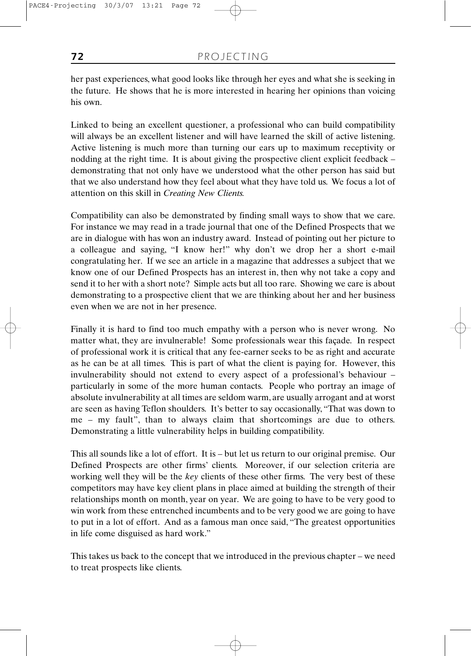her past experiences, what good looks like through her eyes and what she is seeking in the future. He shows that he is more interested in hearing her opinions than voicing his own.

Linked to being an excellent questioner, a professional who can build compatibility will always be an excellent listener and will have learned the skill of active listening. Active listening is much more than turning our ears up to maximum receptivity or nodding at the right time. It is about giving the prospective client explicit feedback – demonstrating that not only have we understood what the other person has said but that we also understand how they feel about what they have told us. We focus a lot of attention on this skill in *Creating New Clients.*

Compatibility can also be demonstrated by finding small ways to show that we care. For instance we may read in a trade journal that one of the Defined Prospects that we are in dialogue with has won an industry award. Instead of pointing out her picture to a colleague and saying, "I know her!" why don't we drop her a short e-mail congratulating her. If we see an article in a magazine that addresses a subject that we know one of our Defined Prospects has an interest in, then why not take a copy and send it to her with a short note? Simple acts but all too rare. Showing we care is about demonstrating to a prospective client that we are thinking about her and her business even when we are not in her presence.

Finally it is hard to find too much empathy with a person who is never wrong. No matter what, they are invulnerable! Some professionals wear this façade. In respect of professional work it is critical that any fee-earner seeks to be as right and accurate as he can be at all times. This is part of what the client is paying for. However, this invulnerability should not extend to every aspect of a professional's behaviour – particularly in some of the more human contacts. People who portray an image of absolute invulnerability at all times are seldom warm, are usually arrogant and at worst are seen as having Teflon shoulders. It's better to say occasionally, "That was down to me – my fault", than to always claim that shortcomings are due to others. Demonstrating a little vulnerability helps in building compatibility.

This all sounds like a lot of effort. It is – but let us return to our original premise. Our Defined Prospects are other firms' clients. Moreover, if our selection criteria are working well they will be the *key* clients of these other firms. The very best of these competitors may have key client plans in place aimed at building the strength of their relationships month on month, year on year. We are going to have to be very good to win work from these entrenched incumbents and to be very good we are going to have to put in a lot of effort. And as a famous man once said, "The greatest opportunities in life come disguised as hard work."

This takes us back to the concept that we introduced in the previous chapter – we need to treat prospects like clients.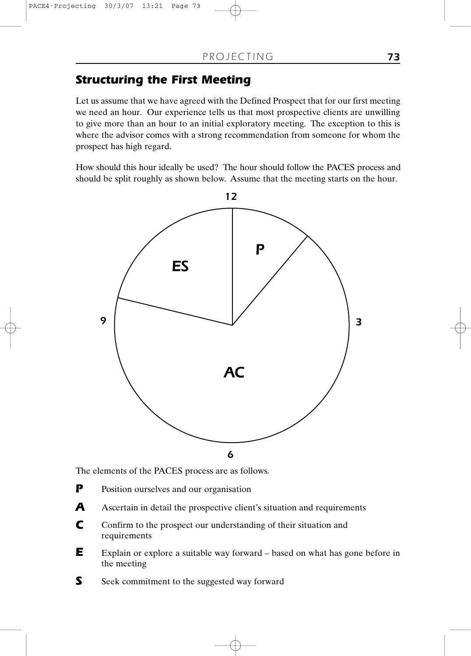# **Structuring the First Meeting**

Let us assume that we have agreed with the Defined Prospect that for our first meeting we need an hour. Our experience tells us that most prospective clients are unwilling to give more than an hour to an initial exploratory meeting. The exception to this is where the advisor comes with a strong recommendation from someone for whom the prospect has high regard.

How should this hour ideally be used? The hour should follow the PACES process and should be split roughly as shown below. Assume that the meeting starts on the hour.



The elements of the PACES process are as follows.

- Position ourselves and our organisation **P**
- Ascertain in detail the prospective client's situation and requirements **A**
- Confirm to the prospect our understanding of their situation and requirements **C**
- Explain or explore a suitable way forward based on what has gone before in the meeting **E**
- Seek commitment to the suggested way forward **S**

73